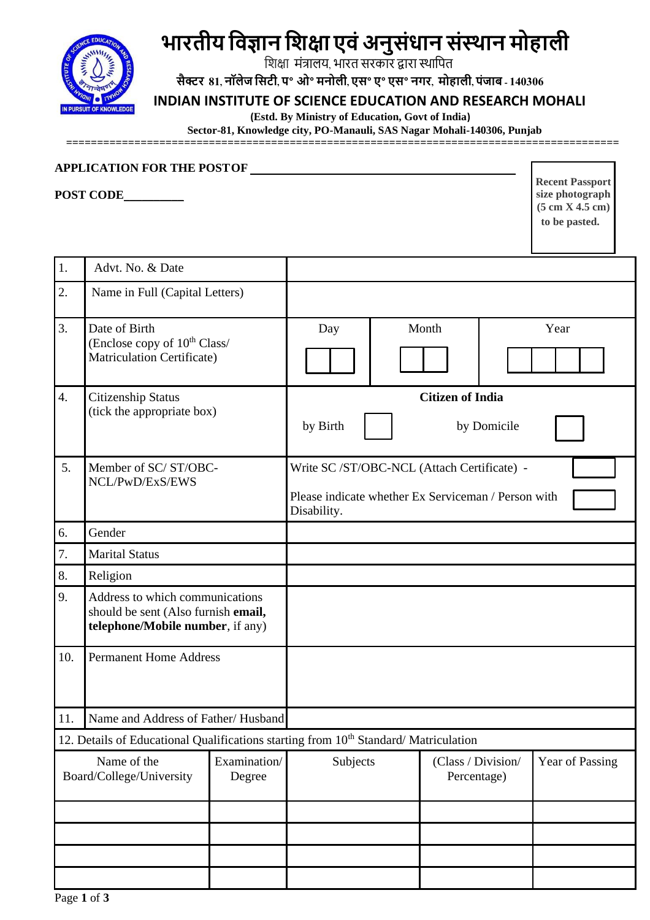

## **भारतीय विज्ञान विक्षा एिंअनुसंधान संस्थान मोहाली**

शिक्षा मंत्रालय, भारत सरकार द्वारा स्थाशित

सैक्टर 81, नॉलेज सिटी, प° ओ° मनोली, एस° ए° एस° नगर, मोहाली, पंजाब - 140306

## **INDIAN INSTITUTE OF SCIENCE EDUCATION AND RESEARCH MOHALI**

 **(Estd. By Ministry of Education, Govt of India)** 

 **Sector-81, Knowledge city, PO-Manauli, SAS Nagar Mohali-140306, Punjab**

**=========================================================================================**

## **APPLICATION FOR THE POSTOF**

**POST CODE**\_\_\_\_\_\_\_\_\_\_

**Recent Passport size photograph (5 cm X 4.5 cm) to be pasted.**

| 1.                                                                | Advt. No. & Date                                                                                           |          |                                                                                                                   |                                   |                 |      |  |  |  |
|-------------------------------------------------------------------|------------------------------------------------------------------------------------------------------------|----------|-------------------------------------------------------------------------------------------------------------------|-----------------------------------|-----------------|------|--|--|--|
| $\overline{2}$ .                                                  | Name in Full (Capital Letters)                                                                             |          |                                                                                                                   |                                   |                 |      |  |  |  |
| $\overline{3}$ .                                                  | Date of Birth<br>(Enclose copy of 10 <sup>th</sup> Class/<br><b>Matriculation Certificate)</b>             |          | Day                                                                                                               | Month                             |                 | Year |  |  |  |
| $\overline{4}$ .                                                  | <b>Citizenship Status</b><br>(tick the appropriate box)                                                    |          | <b>Citizen of India</b><br>by Birth<br>by Domicile                                                                |                                   |                 |      |  |  |  |
| 5.                                                                | Member of SC/ST/OBC-<br>NCL/PwD/ExS/EWS                                                                    |          | Write SC /ST/OBC-NCL (Attach Certificate) -<br>Please indicate whether Ex Serviceman / Person with<br>Disability. |                                   |                 |      |  |  |  |
| 6.                                                                | Gender                                                                                                     |          |                                                                                                                   |                                   |                 |      |  |  |  |
| 7.                                                                | <b>Marital Status</b>                                                                                      |          |                                                                                                                   |                                   |                 |      |  |  |  |
| 8.                                                                | Religion                                                                                                   |          |                                                                                                                   |                                   |                 |      |  |  |  |
| 9.                                                                | Address to which communications<br>should be sent (Also furnish email,<br>telephone/Mobile number, if any) |          |                                                                                                                   |                                   |                 |      |  |  |  |
| 10.                                                               | <b>Permanent Home Address</b>                                                                              |          |                                                                                                                   |                                   |                 |      |  |  |  |
| 11.                                                               | Name and Address of Father/Husband                                                                         |          |                                                                                                                   |                                   |                 |      |  |  |  |
|                                                                   | 12. Details of Educational Qualifications starting from 10 <sup>th</sup> Standard/Matriculation            |          |                                                                                                                   |                                   |                 |      |  |  |  |
| Name of the<br>Examination/<br>Board/College/University<br>Degree |                                                                                                            | Subjects |                                                                                                                   | (Class / Division/<br>Percentage) | Year of Passing |      |  |  |  |
|                                                                   |                                                                                                            |          |                                                                                                                   |                                   |                 |      |  |  |  |
|                                                                   |                                                                                                            |          |                                                                                                                   |                                   |                 |      |  |  |  |
|                                                                   |                                                                                                            |          |                                                                                                                   |                                   |                 |      |  |  |  |
|                                                                   |                                                                                                            |          |                                                                                                                   |                                   |                 |      |  |  |  |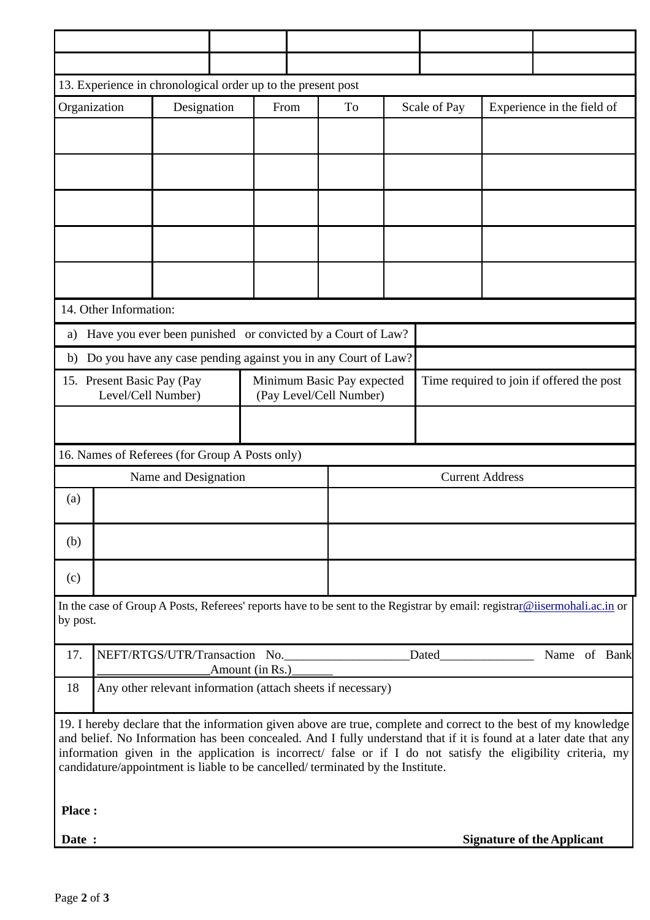| 13. Experience in chronological order up to the present post                                                                                                                                                                                                                                                                                                                                                                             |                                                  |             |                                                       |      |                        |                       |                                           |                                   |  |  |  |  |  |
|------------------------------------------------------------------------------------------------------------------------------------------------------------------------------------------------------------------------------------------------------------------------------------------------------------------------------------------------------------------------------------------------------------------------------------------|--------------------------------------------------|-------------|-------------------------------------------------------|------|------------------------|-----------------------|-------------------------------------------|-----------------------------------|--|--|--|--|--|
| Organization                                                                                                                                                                                                                                                                                                                                                                                                                             |                                                  | Designation |                                                       | From | To                     | Scale of Pay          |                                           | Experience in the field of        |  |  |  |  |  |
|                                                                                                                                                                                                                                                                                                                                                                                                                                          |                                                  |             |                                                       |      |                        |                       |                                           |                                   |  |  |  |  |  |
|                                                                                                                                                                                                                                                                                                                                                                                                                                          |                                                  |             |                                                       |      |                        |                       |                                           |                                   |  |  |  |  |  |
|                                                                                                                                                                                                                                                                                                                                                                                                                                          |                                                  |             |                                                       |      |                        |                       |                                           |                                   |  |  |  |  |  |
|                                                                                                                                                                                                                                                                                                                                                                                                                                          |                                                  |             |                                                       |      |                        |                       |                                           |                                   |  |  |  |  |  |
|                                                                                                                                                                                                                                                                                                                                                                                                                                          |                                                  |             |                                                       |      |                        |                       |                                           |                                   |  |  |  |  |  |
| 14. Other Information:                                                                                                                                                                                                                                                                                                                                                                                                                   |                                                  |             |                                                       |      |                        |                       |                                           |                                   |  |  |  |  |  |
| Have you ever been punished or convicted by a Court of Law?<br>a)                                                                                                                                                                                                                                                                                                                                                                        |                                                  |             |                                                       |      |                        |                       |                                           |                                   |  |  |  |  |  |
| Do you have any case pending against you in any Court of Law?<br>b)                                                                                                                                                                                                                                                                                                                                                                      |                                                  |             |                                                       |      |                        |                       |                                           |                                   |  |  |  |  |  |
| 15. Present Basic Pay (Pay<br>Level/Cell Number)                                                                                                                                                                                                                                                                                                                                                                                         |                                                  |             | Minimum Basic Pay expected<br>(Pay Level/Cell Number) |      |                        |                       | Time required to join if offered the post |                                   |  |  |  |  |  |
|                                                                                                                                                                                                                                                                                                                                                                                                                                          |                                                  |             |                                                       |      |                        |                       |                                           |                                   |  |  |  |  |  |
| 16. Names of Referees (for Group A Posts only)                                                                                                                                                                                                                                                                                                                                                                                           |                                                  |             |                                                       |      |                        |                       |                                           |                                   |  |  |  |  |  |
| Name and Designation                                                                                                                                                                                                                                                                                                                                                                                                                     |                                                  |             |                                                       |      | <b>Current Address</b> |                       |                                           |                                   |  |  |  |  |  |
| (a)                                                                                                                                                                                                                                                                                                                                                                                                                                      |                                                  |             |                                                       |      |                        |                       |                                           |                                   |  |  |  |  |  |
| (b)                                                                                                                                                                                                                                                                                                                                                                                                                                      |                                                  |             |                                                       |      |                        |                       |                                           |                                   |  |  |  |  |  |
| (c)                                                                                                                                                                                                                                                                                                                                                                                                                                      |                                                  |             |                                                       |      |                        |                       |                                           |                                   |  |  |  |  |  |
| In the case of Group A Posts, Referees' reports have to be sent to the Registrar by email: registrar@iisermohali.ac.in or<br>by post.                                                                                                                                                                                                                                                                                                    |                                                  |             |                                                       |      |                        |                       |                                           |                                   |  |  |  |  |  |
| 17.                                                                                                                                                                                                                                                                                                                                                                                                                                      | NEFT/RTGS/UTR/Transaction No.<br>Amount (in Rs.) |             |                                                       |      |                        | Name of Bank<br>Dated |                                           |                                   |  |  |  |  |  |
| Any other relevant information (attach sheets if necessary)<br>18                                                                                                                                                                                                                                                                                                                                                                        |                                                  |             |                                                       |      |                        |                       |                                           |                                   |  |  |  |  |  |
| 19. I hereby declare that the information given above are true, complete and correct to the best of my knowledge<br>and belief. No Information has been concealed. And I fully understand that if it is found at a later date that any<br>information given in the application is incorrect/ false or if I do not satisfy the eligibility criteria, my<br>candidature/appointment is liable to be cancelled/terminated by the Institute. |                                                  |             |                                                       |      |                        |                       |                                           |                                   |  |  |  |  |  |
| <b>Place:</b>                                                                                                                                                                                                                                                                                                                                                                                                                            |                                                  |             |                                                       |      |                        |                       |                                           |                                   |  |  |  |  |  |
| Date :                                                                                                                                                                                                                                                                                                                                                                                                                                   |                                                  |             |                                                       |      |                        |                       |                                           | <b>Signature of the Applicant</b> |  |  |  |  |  |
|                                                                                                                                                                                                                                                                                                                                                                                                                                          |                                                  |             |                                                       |      |                        |                       |                                           |                                   |  |  |  |  |  |